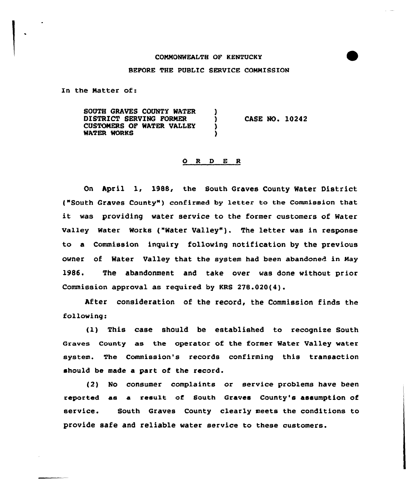## CONNONMEALTH OF KENTUCKY

## BEFORE THE PUBLIC SERVICE CONNISSION

In the Natter of:

SOUTH GRAVES COUNTY WATER (1997)<br>DISTRICT SERVING FORMER DISTRICT SERVING FORMER  $\overrightarrow{O}$  )<br>CUSTOMERS OF WATER VALLEY CUSTOMERS OF WATER VALLEY WATER WORKS CASE NO. 10242

## 0 <sup>R</sup> <sup>D</sup> E <sup>R</sup>

On April 1, 1988, the South Graves County Water District ("South Graves County" ) confirmed by letter to the Commission that it was providing water service to the former customers of Water valley water works ("water valley" ). The letter was in response to a Commission inquiry following notification by the previous owner of Water Valley that the system had been abandoned in Nay 1986. The abandonment and take over was done without prior Commission approval as required by KRS 278.020(4).

After consideration of the record, the Commission finds the following:

(l) This case should be established to recognize South Graves County as the operator of the former Mater Valley water system. The Commission's records confirming this transaction should be made a part of the record.

(2) No consumer complaints or service problems have been reported as a result of South Graves County's assumption of service. South Graves County clearly meets the conditions to provide safe and reliable water service to these customers.